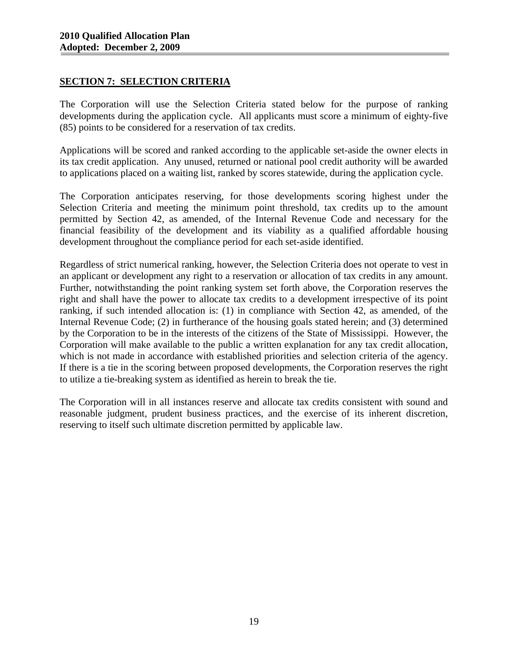# **SECTION 7: SELECTION CRITERIA**

The Corporation will use the Selection Criteria stated below for the purpose of ranking developments during the application cycle. All applicants must score a minimum of eighty-five (85) points to be considered for a reservation of tax credits.

Applications will be scored and ranked according to the applicable set-aside the owner elects in its tax credit application. Any unused, returned or national pool credit authority will be awarded to applications placed on a waiting list, ranked by scores statewide, during the application cycle.

The Corporation anticipates reserving, for those developments scoring highest under the Selection Criteria and meeting the minimum point threshold, tax credits up to the amount permitted by Section 42, as amended, of the Internal Revenue Code and necessary for the financial feasibility of the development and its viability as a qualified affordable housing development throughout the compliance period for each set-aside identified.

Regardless of strict numerical ranking, however, the Selection Criteria does not operate to vest in an applicant or development any right to a reservation or allocation of tax credits in any amount. Further, notwithstanding the point ranking system set forth above, the Corporation reserves the right and shall have the power to allocate tax credits to a development irrespective of its point ranking, if such intended allocation is: (1) in compliance with Section 42, as amended, of the Internal Revenue Code; (2) in furtherance of the housing goals stated herein; and (3) determined by the Corporation to be in the interests of the citizens of the State of Mississippi. However, the Corporation will make available to the public a written explanation for any tax credit allocation, which is not made in accordance with established priorities and selection criteria of the agency. If there is a tie in the scoring between proposed developments, the Corporation reserves the right to utilize a tie-breaking system as identified as herein to break the tie.

The Corporation will in all instances reserve and allocate tax credits consistent with sound and reasonable judgment, prudent business practices, and the exercise of its inherent discretion, reserving to itself such ultimate discretion permitted by applicable law.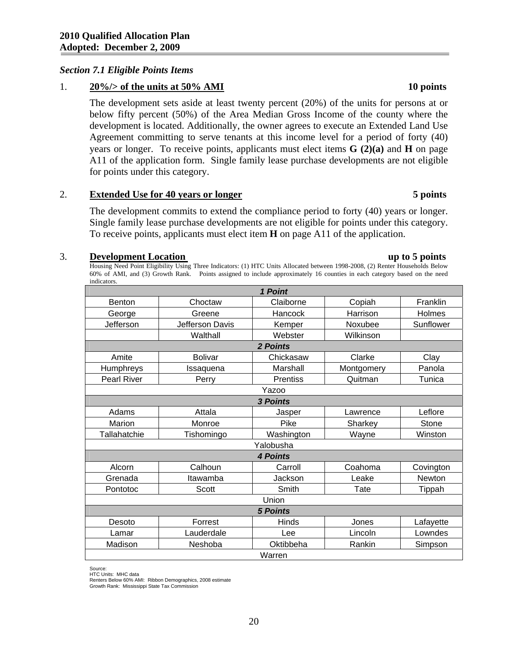## *Section 7.1 Eligible Points Items*

## 1. **20%/> of the units at 50% AMI 10 points**

The development sets aside at least twenty percent (20%) of the units for persons at or below fifty percent (50%) of the Area Median Gross Income of the county where the development is located. Additionally, the owner agrees to execute an Extended Land Use Agreement committing to serve tenants at this income level for a period of forty (40) years or longer. To receive points, applicants must elect items **G (2)(a)** and **H** on page A11 of the application form. Single family lease purchase developments are not eligible for points under this category.

## 2. **Extended Use for 40 years or longer 5 points**

The development commits to extend the compliance period to forty (40) years or longer. Single family lease purchase developments are not eligible for points under this category. To receive points, applicants must elect item **H** on page A11 of the application.

### 3. **Development Location up to 5 points**

Housing Need Point Eligibility Using Three Indicators: (1) HTC Units Allocated between 1998-2008, (2) Renter Households Below 60% of AMI, and (3) Growth Rank. Points assigned to include approximately 16 counties in each category based on the need indicators.

| muicators.         |                 |              |            |           |  |
|--------------------|-----------------|--------------|------------|-----------|--|
| 1 Point            |                 |              |            |           |  |
| Benton             | Choctaw         | Claiborne    | Copiah     | Franklin  |  |
| George             | Greene          | Hancock      | Harrison   | Holmes    |  |
| Jefferson          | Jefferson Davis | Kemper       | Noxubee    | Sunflower |  |
|                    | Walthall        | Webster      | Wilkinson  |           |  |
| 2 Points           |                 |              |            |           |  |
| Amite              | <b>Bolivar</b>  | Chickasaw    | Clarke     | Clay      |  |
| Humphreys          | Issaquena       | Marshall     | Montgomery | Panola    |  |
| <b>Pearl River</b> | Perry           | Prentiss     | Quitman    | Tunica    |  |
| Yazoo              |                 |              |            |           |  |
| 3 Points           |                 |              |            |           |  |
| Adams              | Attala          | Jasper       | Lawrence   | Leflore   |  |
| Marion             | Monroe          | Pike         | Sharkey    | Stone     |  |
| Tallahatchie       | Tishomingo      | Washington   | Wayne      | Winston   |  |
| Yalobusha          |                 |              |            |           |  |
| <b>4 Points</b>    |                 |              |            |           |  |
| Alcorn             | Calhoun         | Carroll      | Coahoma    | Covington |  |
| Grenada            | Itawamba        | Jackson      | Leake      | Newton    |  |
| Pontotoc           | Scott           | Smith        | Tate       | Tippah    |  |
|                    |                 | Union        |            |           |  |
| <b>5 Points</b>    |                 |              |            |           |  |
| Desoto             | Forrest         | <b>Hinds</b> | Jones      | Lafayette |  |
| Lamar              | Lauderdale      | Lee          | Lincoln    | Lowndes   |  |
| Madison            | Neshoba         | Oktibbeha    | Rankin     | Simpson   |  |
| Warren             |                 |              |            |           |  |

Source:

HTC Units: MHC data

Renters Below 60% AMI: Ribbon Demographics, 2008 estimate Growth Rank: Mississippi State Tax Commission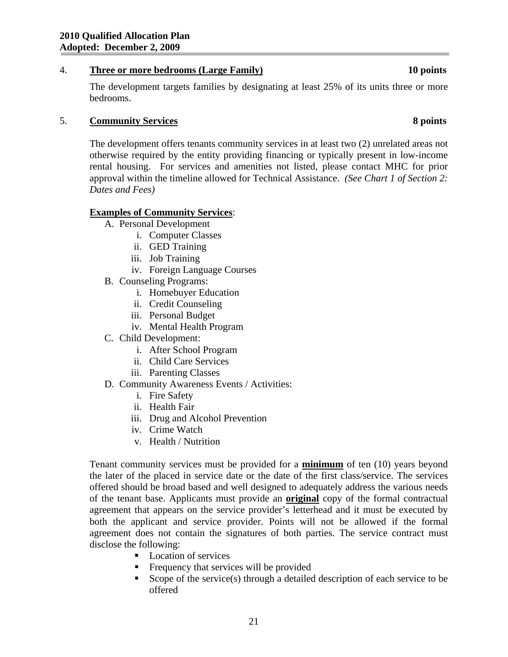## 4. **Three or more bedrooms (Large Family) 10 points**

The development targets families by designating at least 25% of its units three or more bedrooms.

# 5. **Community Services 8 points**

The development offers tenants community services in at least two (2) unrelated areas not otherwise required by the entity providing financing or typically present in low-income rental housing. For services and amenities not listed, please contact MHC for prior approval within the timeline allowed for Technical Assistance. *(See Chart 1 of Section 2: Dates and Fees)* 

# **Examples of Community Services**:

- A. Personal Development
	- i. Computer Classes
	- ii. GED Training
	- iii. Job Training
	- iv. Foreign Language Courses
- B. Counseling Programs:
	- i. Homebuyer Education
	- ii. Credit Counseling
	- iii. Personal Budget
	- iv. Mental Health Program
- C. Child Development:
	- i. After School Program
	- ii. Child Care Services
	- iii. Parenting Classes
- D. Community Awareness Events / Activities:
	- i. Fire Safety
	- ii. Health Fair
	- iii. Drug and Alcohol Prevention
	- iv. Crime Watch
	- v. Health / Nutrition

Tenant community services must be provided for a **minimum** of ten (10) years beyond the later of the placed in service date or the date of the first class/service. The services offered should be broad based and well designed to adequately address the various needs of the tenant base. Applicants must provide an **original** copy of the formal contractual agreement that appears on the service provider's letterhead and it must be executed by both the applicant and service provider. Points will not be allowed if the formal agreement does not contain the signatures of both parties. The service contract must disclose the following:

- Location of services
- Frequency that services will be provided
- Scope of the service(s) through a detailed description of each service to be offered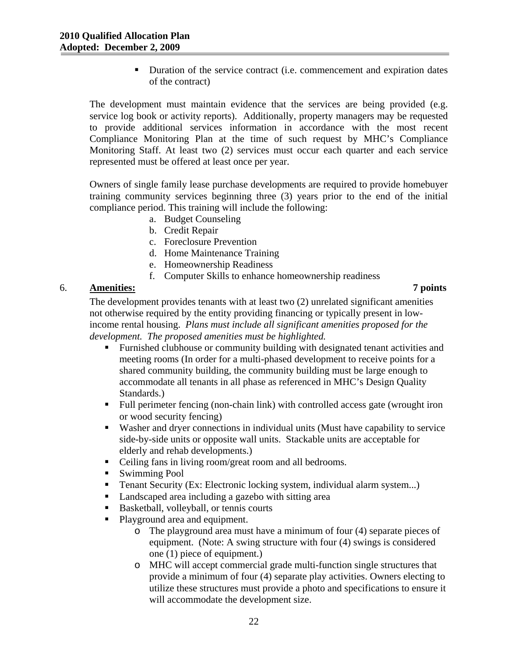Duration of the service contract (i.e. commencement and expiration dates of the contract)

The development must maintain evidence that the services are being provided (e.g. service log book or activity reports). Additionally, property managers may be requested to provide additional services information in accordance with the most recent Compliance Monitoring Plan at the time of such request by MHC's Compliance Monitoring Staff. At least two (2) services must occur each quarter and each service represented must be offered at least once per year.

Owners of single family lease purchase developments are required to provide homebuyer training community services beginning three (3) years prior to the end of the initial compliance period. This training will include the following:

- a. Budget Counseling
- b. Credit Repair
- c. Foreclosure Prevention
- d. Home Maintenance Training
- e. Homeownership Readiness
- f. Computer Skills to enhance homeownership readiness

# 6. **Amenities: 7 points**

The development provides tenants with at least two (2) unrelated significant amenities not otherwise required by the entity providing financing or typically present in lowincome rental housing. *Plans must include all significant amenities proposed for the development. The proposed amenities must be highlighted.* 

- Furnished clubhouse or community building with designated tenant activities and meeting rooms (In order for a multi-phased development to receive points for a shared community building, the community building must be large enough to accommodate all tenants in all phase as referenced in MHC's Design Quality Standards.)
- Full perimeter fencing (non-chain link) with controlled access gate (wrought iron or wood security fencing)
- Washer and dryer connections in individual units (Must have capability to service side-by-side units or opposite wall units. Stackable units are acceptable for elderly and rehab developments.)
- Ceiling fans in living room/great room and all bedrooms.
- Swimming Pool
- Tenant Security (Ex: Electronic locking system, individual alarm system...)
- **Landscaped area including a gazebo with sitting area**
- Basketball, volleyball, or tennis courts
- Playground area and equipment.
	- o The playground area must have a minimum of four (4) separate pieces of equipment. (Note: A swing structure with four (4) swings is considered one (1) piece of equipment.)
	- o MHC will accept commercial grade multi-function single structures that provide a minimum of four (4) separate play activities. Owners electing to utilize these structures must provide a photo and specifications to ensure it will accommodate the development size.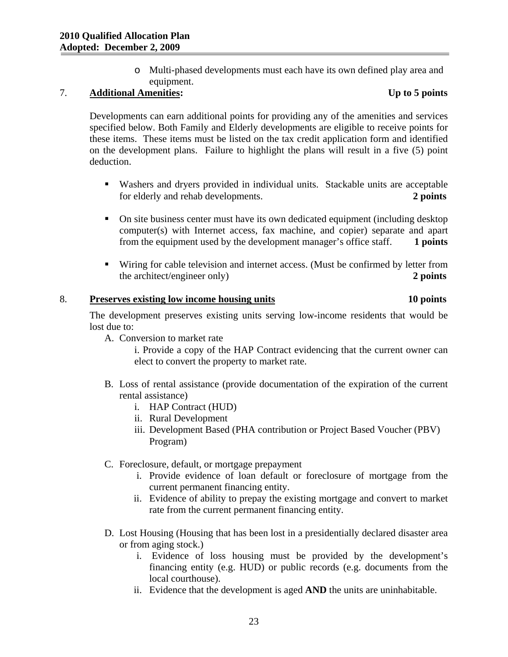o Multi-phased developments must each have its own defined play area and equipment.

# 7. **Additional Amenities: Up to 5 points**

Developments can earn additional points for providing any of the amenities and services specified below. Both Family and Elderly developments are eligible to receive points for these items. These items must be listed on the tax credit application form and identified on the development plans. Failure to highlight the plans will result in a five (5) point deduction.

- Washers and dryers provided in individual units. Stackable units are acceptable for elderly and rehab developments. **2 points**
- On site business center must have its own dedicated equipment (including desktop computer(s) with Internet access, fax machine, and copier) separate and apart from the equipment used by the development manager's office staff. **1 points**
- Wiring for cable television and internet access. (Must be confirmed by letter from the architect/engineer only) **2 points**

## 8. **Preserves existing low income housing units 10 points**

## The development preserves existing units serving low-income residents that would be lost due to:

A. Conversion to market rate

i. Provide a copy of the HAP Contract evidencing that the current owner can elect to convert the property to market rate.

- B. Loss of rental assistance (provide documentation of the expiration of the current rental assistance)
	- i. HAP Contract (HUD)
	- ii. Rural Development
	- iii. Development Based (PHA contribution or Project Based Voucher (PBV) Program)
- C. Foreclosure, default, or mortgage prepayment
	- i. Provide evidence of loan default or foreclosure of mortgage from the current permanent financing entity.
	- ii. Evidence of ability to prepay the existing mortgage and convert to market rate from the current permanent financing entity.
- D. Lost Housing (Housing that has been lost in a presidentially declared disaster area or from aging stock.)
	- i. Evidence of loss housing must be provided by the development's financing entity (e.g. HUD) or public records (e.g. documents from the local courthouse).
	- ii. Evidence that the development is aged **AND** the units are uninhabitable.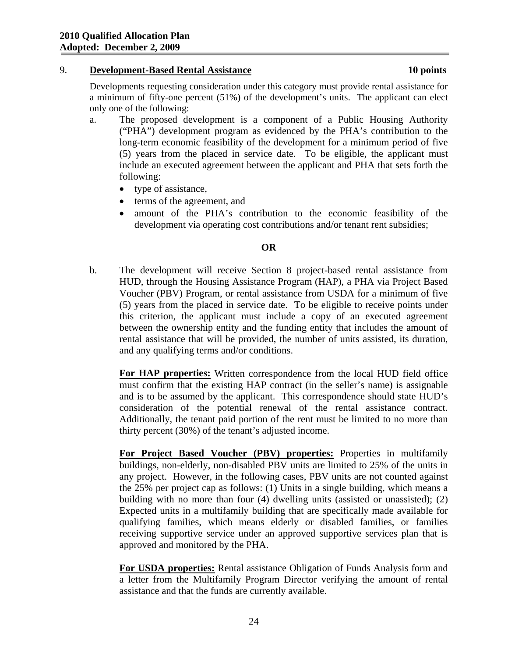## 9. **Development-Based Rental Assistance 10 points**

Developments requesting consideration under this category must provide rental assistance for a minimum of fifty-one percent (51%) of the development's units. The applicant can elect only one of the following:

- a. The proposed development is a component of a Public Housing Authority ("PHA") development program as evidenced by the PHA's contribution to the long-term economic feasibility of the development for a minimum period of five (5) years from the placed in service date. To be eligible, the applicant must include an executed agreement between the applicant and PHA that sets forth the following:
	- type of assistance,
	- terms of the agreement, and
	- amount of the PHA's contribution to the economic feasibility of the development via operating cost contributions and/or tenant rent subsidies;

# **OR**

b. The development will receive Section 8 project-based rental assistance from HUD, through the Housing Assistance Program (HAP), a PHA via Project Based Voucher (PBV) Program, or rental assistance from USDA for a minimum of five (5) years from the placed in service date. To be eligible to receive points under this criterion, the applicant must include a copy of an executed agreement between the ownership entity and the funding entity that includes the amount of rental assistance that will be provided, the number of units assisted, its duration, and any qualifying terms and/or conditions.

**For HAP properties:** Written correspondence from the local HUD field office must confirm that the existing HAP contract (in the seller's name) is assignable and is to be assumed by the applicant. This correspondence should state HUD's consideration of the potential renewal of the rental assistance contract. Additionally, the tenant paid portion of the rent must be limited to no more than thirty percent (30%) of the tenant's adjusted income.

**For Project Based Voucher (PBV) properties:** Properties in multifamily buildings, non-elderly, non-disabled PBV units are limited to 25% of the units in any project. However, in the following cases, PBV units are not counted against the 25% per project cap as follows: (1) Units in a single building, which means a building with no more than four (4) dwelling units (assisted or unassisted); (2) Expected units in a multifamily building that are specifically made available for qualifying families, which means elderly or disabled families, or families receiving supportive service under an approved supportive services plan that is approved and monitored by the PHA.

**For USDA properties:** Rental assistance Obligation of Funds Analysis form and a letter from the Multifamily Program Director verifying the amount of rental assistance and that the funds are currently available.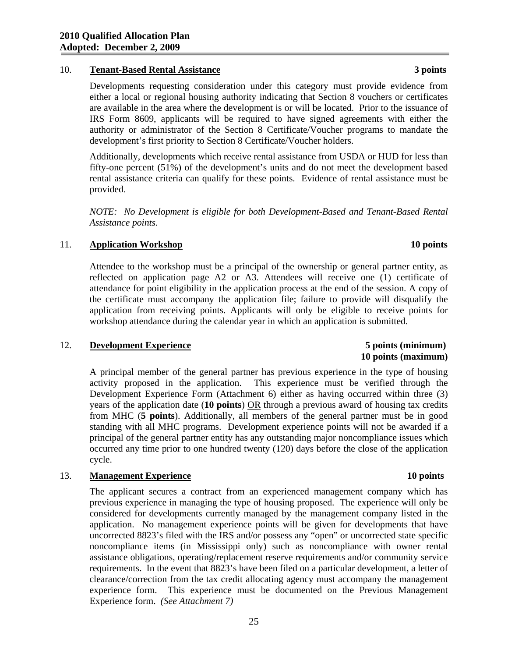### 10. **Tenant-Based Rental Assistance 3 points**

Developments requesting consideration under this category must provide evidence from either a local or regional housing authority indicating that Section 8 vouchers or certificates are available in the area where the development is or will be located. Prior to the issuance of IRS Form 8609, applicants will be required to have signed agreements with either the authority or administrator of the Section 8 Certificate/Voucher programs to mandate the development's first priority to Section 8 Certificate/Voucher holders.

Additionally, developments which receive rental assistance from USDA or HUD for less than fifty-one percent (51%) of the development's units and do not meet the development based rental assistance criteria can qualify for these points. Evidence of rental assistance must be provided.

*NOTE: No Development is eligible for both Development-Based and Tenant-Based Rental Assistance points.* 

### 11. **Application Workshop 10 points**

Attendee to the workshop must be a principal of the ownership or general partner entity, as reflected on application page A2 or A3. Attendees will receive one (1) certificate of attendance for point eligibility in the application process at the end of the session. A copy of the certificate must accompany the application file; failure to provide will disqualify the application from receiving points. Applicants will only be eligible to receive points for workshop attendance during the calendar year in which an application is submitted.

### 12. **Development Experience 5 points (minimum)**

A principal member of the general partner has previous experience in the type of housing activity proposed in the application. This experience must be verified through the Development Experience Form (Attachment 6) either as having occurred within three (3) years of the application date (**10 points**) OR through a previous award of housing tax credits from MHC (**5 points**). Additionally, all members of the general partner must be in good standing with all MHC programs. Development experience points will not be awarded if a principal of the general partner entity has any outstanding major noncompliance issues which occurred any time prior to one hundred twenty (120) days before the close of the application cycle.

### 13. **Management Experience 10 points**

The applicant secures a contract from an experienced management company which has previous experience in managing the type of housing proposed. The experience will only be considered for developments currently managed by the management company listed in the application. No management experience points will be given for developments that have uncorrected 8823's filed with the IRS and/or possess any "open" or uncorrected state specific noncompliance items (in Mississippi only) such as noncompliance with owner rental assistance obligations, operating/replacement reserve requirements and/or community service requirements. In the event that 8823's have been filed on a particular development, a letter of clearance/correction from the tax credit allocating agency must accompany the management experience form. This experience must be documented on the Previous Management Experience form. *(See Attachment 7)* 

 **10 points (maximum)**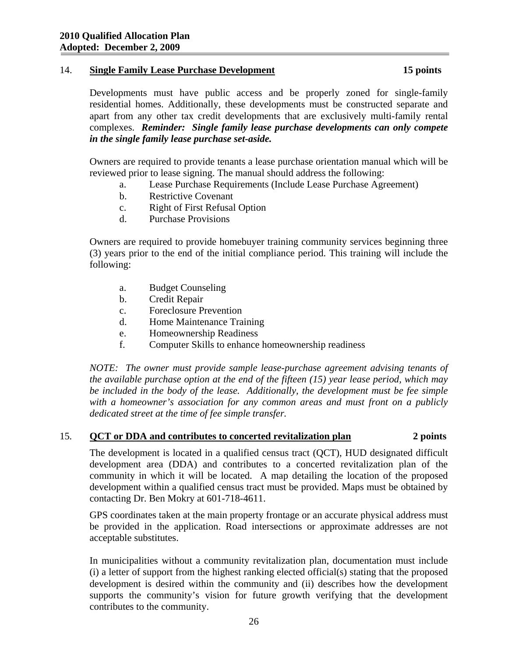# 14.**Single Family Lease Purchase Development 15 points**

Developments must have public access and be properly zoned for single-family residential homes. Additionally, these developments must be constructed separate and apart from any other tax credit developments that are exclusively multi-family rental complexes. *Reminder: Single family lease purchase developments can only compete in the single family lease purchase set-aside.* 

Owners are required to provide tenants a lease purchase orientation manual which will be reviewed prior to lease signing. The manual should address the following:

- a. Lease Purchase Requirements (Include Lease Purchase Agreement)
- b. Restrictive Covenant
- c. Right of First Refusal Option
- d. Purchase Provisions

Owners are required to provide homebuyer training community services beginning three (3) years prior to the end of the initial compliance period. This training will include the following:

- a. Budget Counseling
- b. Credit Repair
- c. Foreclosure Prevention
- d. Home Maintenance Training
- e. Homeownership Readiness
- f. Computer Skills to enhance homeownership readiness

*NOTE: The owner must provide sample lease-purchase agreement advising tenants of the available purchase option at the end of the fifteen (15) year lease period, which may be included in the body of the lease. Additionally, the development must be fee simple with a homeowner's association for any common areas and must front on a publicly dedicated street at the time of fee simple transfer.* 

## 15*.* **QCT or DDA and contributes to concerted revitalization plan 2 points**

The development is located in a qualified census tract (QCT), HUD designated difficult development area (DDA) and contributes to a concerted revitalization plan of the community in which it will be located. A map detailing the location of the proposed development within a qualified census tract must be provided. Maps must be obtained by contacting Dr. Ben Mokry at 601-718-4611.

GPS coordinates taken at the main property frontage or an accurate physical address must be provided in the application. Road intersections or approximate addresses are not acceptable substitutes.

In municipalities without a community revitalization plan, documentation must include (i) a letter of support from the highest ranking elected official(s) stating that the proposed development is desired within the community and (ii) describes how the development supports the community's vision for future growth verifying that the development contributes to the community.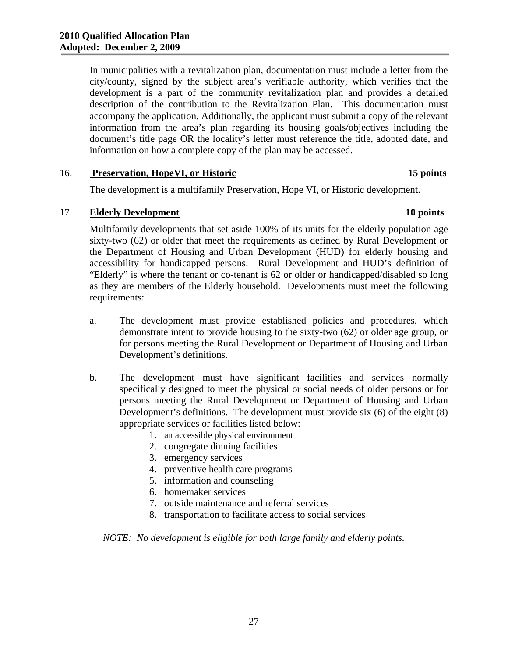In municipalities with a revitalization plan, documentation must include a letter from the city/county, signed by the subject area's verifiable authority, which verifies that the development is a part of the community revitalization plan and provides a detailed description of the contribution to the Revitalization Plan. This documentation must accompany the application. Additionally, the applicant must submit a copy of the relevant information from the area's plan regarding its housing goals/objectives including the document's title page OR the locality's letter must reference the title, adopted date, and information on how a complete copy of the plan may be accessed.

# 16. **Preservation, HopeVI, or Historic 15 points**

The development is a multifamily Preservation, Hope VI, or Historic development.

# 17. **Elderly Development 10 points**

Multifamily developments that set aside 100% of its units for the elderly population age sixty-two (62) or older that meet the requirements as defined by Rural Development or the Department of Housing and Urban Development (HUD) for elderly housing and accessibility for handicapped persons. Rural Development and HUD's definition of "Elderly" is where the tenant or co-tenant is 62 or older or handicapped/disabled so long as they are members of the Elderly household. Developments must meet the following requirements:

- a. The development must provide established policies and procedures, which demonstrate intent to provide housing to the sixty-two (62) or older age group, or for persons meeting the Rural Development or Department of Housing and Urban Development's definitions.
- b. The development must have significant facilities and services normally specifically designed to meet the physical or social needs of older persons or for persons meeting the Rural Development or Department of Housing and Urban Development's definitions. The development must provide six (6) of the eight (8) appropriate services or facilities listed below:
	- 1. an accessible physical environment
	- 2. congregate dinning facilities
	- 3. emergency services
	- 4. preventive health care programs
	- 5. information and counseling
	- 6. homemaker services
	- 7. outside maintenance and referral services
	- 8. transportation to facilitate access to social services

*NOTE: No development is eligible for both large family and elderly points.*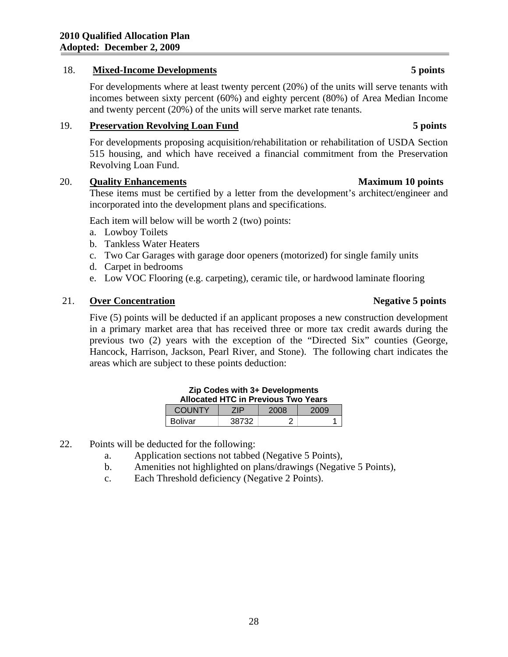# 18. **Mixed-Income Developments 5 points**

For developments where at least twenty percent (20%) of the units will serve tenants with incomes between sixty percent (60%) and eighty percent (80%) of Area Median Income and twenty percent (20%) of the units will serve market rate tenants.

## 19. **Preservation Revolving Loan Fund 5 points**

For developments proposing acquisition/rehabilitation or rehabilitation of USDA Section 515 housing, and which have received a financial commitment from the Preservation Revolving Loan Fund.

## 20. **Quality Enhancements Maximum 10 points**

These items must be certified by a letter from the development's architect/engineer and incorporated into the development plans and specifications.

Each item will below will be worth 2 (two) points:

- a. Lowboy Toilets
- b. Tankless Water Heaters
- c. Two Car Garages with garage door openers (motorized) for single family units
- d. Carpet in bedrooms
- e. Low VOC Flooring (e.g. carpeting), ceramic tile, or hardwood laminate flooring

# 21. **Over Concentration Negative 5 points**

Five (5) points will be deducted if an applicant proposes a new construction development in a primary market area that has received three or more tax credit awards during the previous two (2) years with the exception of the "Directed Six" counties (George, Hancock, Harrison, Jackson, Pearl River, and Stone). The following chart indicates the areas which are subject to these points deduction:

| Zip Codes with 3+ Developments<br><b>Allocated HTC in Previous Two Years</b> |       |      |      |  |  |  |
|------------------------------------------------------------------------------|-------|------|------|--|--|--|
| <b>COUNTY</b>                                                                | 7IP   | 2008 | 2009 |  |  |  |
| <b>Bolivar</b>                                                               | 38732 |      |      |  |  |  |

22.Points will be deducted for the following:

- a. Application sections not tabbed (Negative 5 Points),
- b. Amenities not highlighted on plans/drawings (Negative 5 Points),
- c. Each Threshold deficiency (Negative 2 Points).